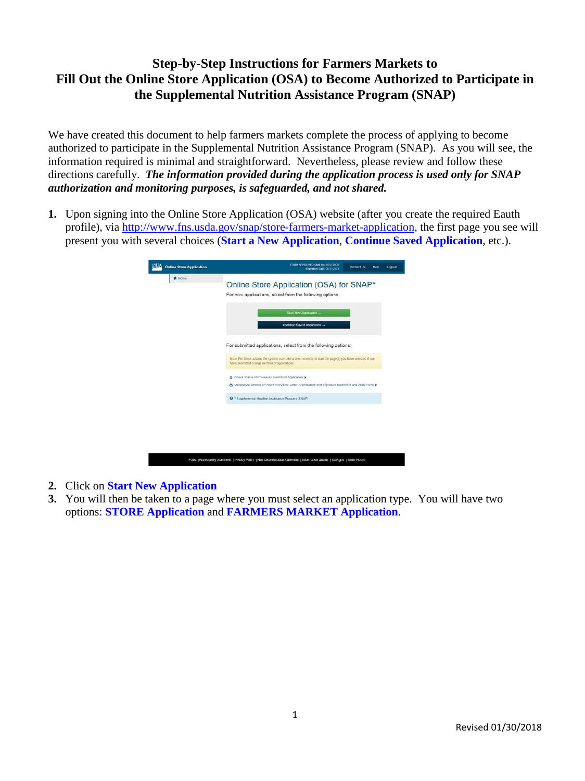## **Step-by-Step Instructions for Farmers Markets to Fill Out the Online Store Application (OSA) to Become Authorized to Participate in the Supplemental Nutrition Assistance Program (SNAP)**

We have created this document to help farmers markets complete the process of applying to become authorized to participate in the Supplemental Nutrition Assistance Program (SNAP). As you will see, the information required is minimal and straightforward. Nevertheless, please review and follow these directions carefully. *The information provided during the application process is used only for SNAP authorization and monitoring purposes, is safeguarded, and not shared.*

**1.** Upon signing into the Online Store Application (OSA) website (after you create the required Eauth profile), via [http://www.fns.usda.gov/snap/store-farmers-market-application,](http://www.fns.usda.gov/snap/store-farmers-market-application) the first page you see will present you with several choices (**Start a New Application**, **Continue Saved Application**, etc.).

| Start New Application -<br>Continue Saved Application -<br>For submitted applications, select from the following options:<br>Note: For these actions the system may take a few moments to load the page(s) you have selected if you<br>have submitted a large number of applications.<br>E Check Status of Previously Submitted Application ><br>John Upload Documents or View/Print Cover Letter, Certification and Signature Statement and 252E Form \$ |
|-----------------------------------------------------------------------------------------------------------------------------------------------------------------------------------------------------------------------------------------------------------------------------------------------------------------------------------------------------------------------------------------------------------------------------------------------------------|
|                                                                                                                                                                                                                                                                                                                                                                                                                                                           |
|                                                                                                                                                                                                                                                                                                                                                                                                                                                           |
|                                                                                                                                                                                                                                                                                                                                                                                                                                                           |
|                                                                                                                                                                                                                                                                                                                                                                                                                                                           |
| <b>O</b> * Supplemental Nutrition Assistance Program (SNAP)                                                                                                                                                                                                                                                                                                                                                                                               |

- **2.** Click on **Start New Application**
- **3.** You will then be taken to a page where you must select an application type. You will have two options: **STORE Application** and **FARMERS MARKET Application**.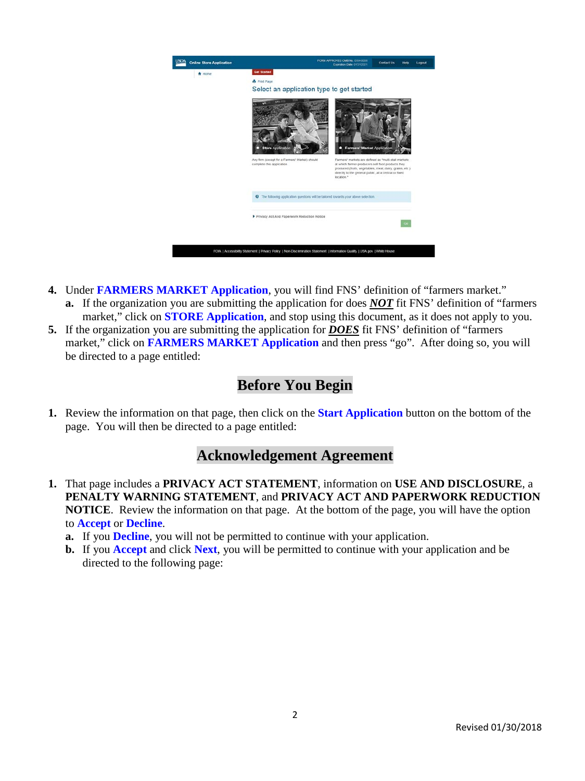

- **4.** Under **FARMERS MARKET Application**, you will find FNS' definition of "farmers market." **a.** If the organization you are submitting the application for does *NOT* fit FNS' definition of "farmers market," click on **STORE Application**, and stop using this document, as it does not apply to you.
- **5.** If the organization you are submitting the application for *DOES* fit FNS' definition of "farmers market," click on **FARMERS MARKET Application** and then press "go".After doing so, you will be directed to a page entitled:

# **Before You Begin**

**1.** Review the information on that page, then click on the **Start Application** button on the bottom of the page. You will then be directed to a page entitled:

# **Acknowledgement Agreement**

- **1.** That page includes a **PRIVACY ACT STATEMENT**, information on **USE AND DISCLOSURE**, a **PENALTY WARNING STATEMENT**, and **PRIVACY ACT AND PAPERWORK REDUCTION NOTICE**. Review the information on that page. At the bottom of the page, you will have the option to **Accept** or **Decline**.
	- **a.** If you **Decline**, you will not be permitted to continue with your application.
	- **b.** If you **Accept** and click **Next**, you will be permitted to continue with your application and be directed to the following page: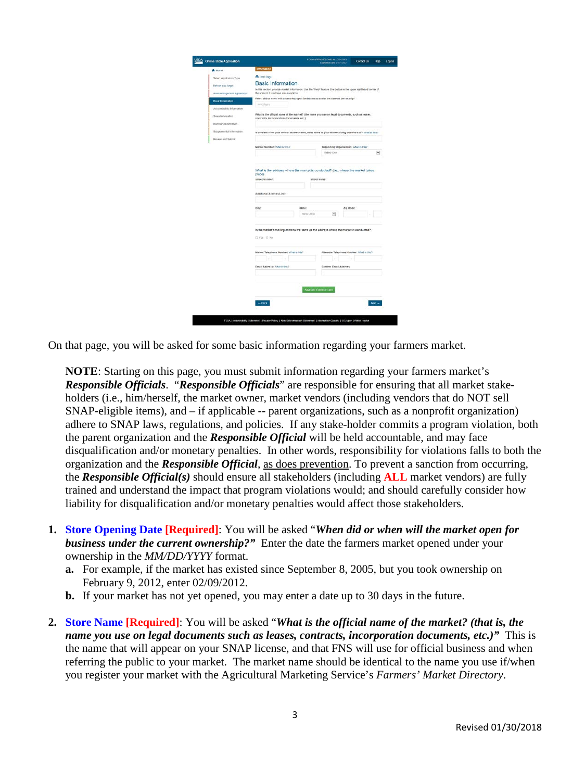| <b>Online Store Application</b> |                                                                                                                                                             |                        | <b>Lighting Date (MONDEY</b>               | Contact Us | H ip                 |
|---------------------------------|-------------------------------------------------------------------------------------------------------------------------------------------------------------|------------------------|--------------------------------------------|------------|----------------------|
| A Home                          | <b>Information</b>                                                                                                                                          |                        |                                            |            |                      |
| Select Application Type         | <b>A</b> Finnt Page                                                                                                                                         |                        |                                            |            |                      |
| Beltse You Begin                | <b>Basic Information</b>                                                                                                                                    |                        |                                            |            |                      |
| Асикомеодопелі Азгорпота        | In this section, provide market information. Use the "Help" feature (the button in the upper right hand corner of<br>the screen) if you have any questions. |                        |                                            |            |                      |
| <b>Basic Information</b>        | When did or when will the market open for business under the current ownership?                                                                             |                        |                                            |            |                      |
|                                 | mindology                                                                                                                                                   |                        |                                            |            |                      |
| Accountability Information      | What is the official name of the market? (the name you use on legal documents, such as leases,                                                              |                        |                                            |            |                      |
| Sales Information               | contracts, incorporation documents, etc.)                                                                                                                   |                        |                                            |            |                      |
| Inventory Information           |                                                                                                                                                             |                        |                                            |            |                      |
| Supplemental Information        | If different from your official market name, what name is your market doing business as ? What in this?                                                     |                        |                                            |            |                      |
| Review and Submit               |                                                                                                                                                             |                        |                                            |            |                      |
|                                 | Market Number: What is this?                                                                                                                                |                        | Supporting Organization: Vihal is Els?     |            |                      |
|                                 |                                                                                                                                                             |                        | Belegs-One                                 |            | $\blacktriangledown$ |
|                                 | Additional Address Line:                                                                                                                                    |                        |                                            |            |                      |
|                                 | City:<br>State:                                                                                                                                             |                        | Zip Code:                                  |            |                      |
|                                 | Selectione                                                                                                                                                  |                        | $\ddot{v}$                                 |            |                      |
|                                 | is the market's mailing address the same as the address where the market is conducted?<br>C Yes C No.                                                       |                        |                                            |            |                      |
|                                 | Market Telephone Number: Vihal III thic?                                                                                                                    |                        | Alternate Talephone Number: Vihal IL Ifa:? |            |                      |
|                                 |                                                                                                                                                             |                        |                                            |            |                      |
|                                 | Elean Address: What is this?                                                                                                                                |                        | Confirm Easail Address:                    |            |                      |
|                                 |                                                                                                                                                             |                        |                                            |            |                      |
|                                 |                                                                                                                                                             |                        |                                            |            |                      |
|                                 |                                                                                                                                                             | Save and Continue Labe |                                            |            |                      |
|                                 |                                                                                                                                                             |                        |                                            |            |                      |
|                                 | $-$ tiect                                                                                                                                                   |                        |                                            |            | $M =$                |
|                                 |                                                                                                                                                             |                        |                                            |            |                      |

On that page, you will be asked for some basic information regarding your farmers market.

**NOTE**: Starting on this page, you must submit information regarding your farmers market's *Responsible Officials*. "*Responsible Officials*" are responsible for ensuring that all market stakeholders (i.e., him/herself, the market owner, market vendors (including vendors that do NOT sell SNAP-eligible items), and – if applicable -- parent organizations, such as a nonprofit organization) adhere to SNAP laws, regulations, and policies. If any stake-holder commits a program violation, both the parent organization and the *Responsible Official* will be held accountable, and may face disqualification and/or monetary penalties. In other words, responsibility for violations falls to both the organization and the *Responsible Official*, as does prevention. To prevent a sanction from occurring, the *Responsible Official(s)* should ensure all stakeholders (including **ALL** market vendors) are fully trained and understand the impact that program violations would; and should carefully consider how liability for disqualification and/or monetary penalties would affect those stakeholders.

- **1. Store Opening Date [Required]**: You will be asked "*When did or when will the market open for business under the current ownership?"* Enter the date the farmers market opened under your ownership in the *MM/DD/YYYY* format.
	- **a.** For example, if the market has existed since September 8, 2005, but you took ownership on February 9, 2012, enter 02/09/2012.
	- **b.** If your market has not yet opened, you may enter a date up to 30 days in the future.
- **2. Store Name [Required]**: You will be asked "*What is the official name of the market? (that is, the name you use on legal documents such as leases, contracts, incorporation documents, etc.)"* This is the name that will appear on your SNAP license, and that FNS will use for official business and when referring the public to your market. The market name should be identical to the name you use if/when you register your market with the Agricultural Marketing Service's *Farmers' Market Directory*.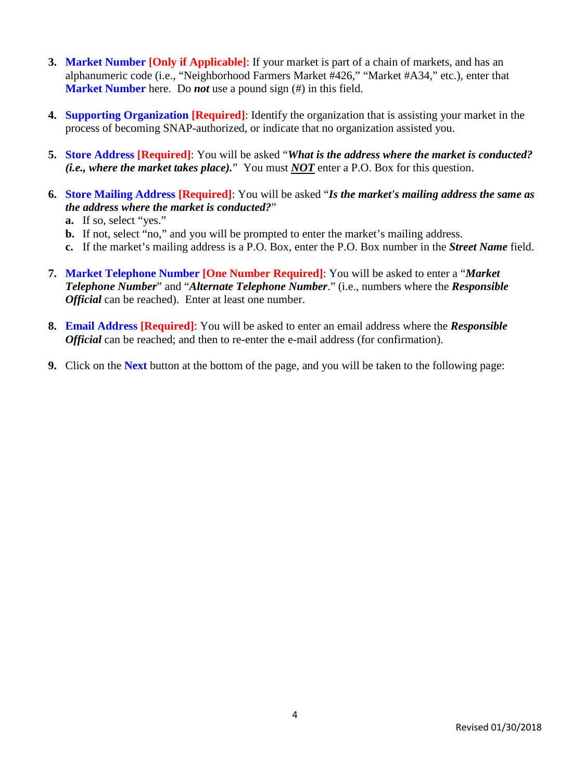- **3. Market Number [Only if Applicable]**: If your market is part of a chain of markets, and has an alphanumeric code (i.e., "Neighborhood Farmers Market #426," "Market #A34," etc.), enter that **Market Number** here. Do *not* use a pound sign (#) in this field.
- **4. Supporting Organization [Required]**: Identify the organization that is assisting your market in the process of becoming SNAP-authorized, or indicate that no organization assisted you.
- **5. Store Address [Required]**: You will be asked "*What is the address where the market is conducted? (i.e., where the market takes place).*" You must *NOT* enter a P.O. Box for this question.
- **6. Store Mailing Address [Required]**: You will be asked "*Is the market's mailing address the same as the address where the market is conducted?*"
	- **a.** If so, select "yes."
	- **b.** If not, select "no," and you will be prompted to enter the market's mailing address.
	- **c.** If the market's mailing address is a P.O. Box, enter the P.O. Box number in the *Street Name* field.
- **7. Market Telephone Number [One Number Required]**: You will be asked to enter a "*Market Telephone Number*" and "*Alternate Telephone Number*." (i.e., numbers where the *Responsible Official* can be reached). Enter at least one number.
- **8. Email Address [Required]**: You will be asked to enter an email address where the *Responsible Official* can be reached; and then to re-enter the e-mail address (for confirmation).
- **9.** Click on the **Next** button at the bottom of the page, and you will be taken to the following page: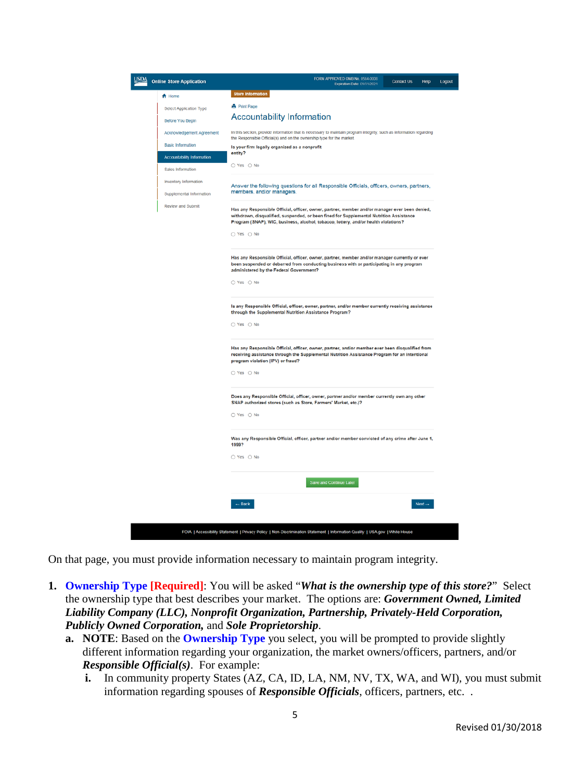| <b>USDA</b> | <b>Online Store Application</b>                                                                                 | FORM APPROVED OMB No. 0584-0008<br><b>Contact Us</b><br>Help<br>Expiration Date: 01/31/2021                                                                                                                                                                                                    | Logout |
|-------------|-----------------------------------------------------------------------------------------------------------------|------------------------------------------------------------------------------------------------------------------------------------------------------------------------------------------------------------------------------------------------------------------------------------------------|--------|
|             | <del>A</del> Home<br>Select Application Type<br><b>Before You Begin</b>                                         | <b>Store Information</b><br><b>A</b> Print Page<br><b>Accountability Information</b>                                                                                                                                                                                                           |        |
|             | Acknowledgement Agreement<br><b>Basic Information</b><br><b>Accountability Information</b><br>Sales Information | In this section, provide information that is necessary to maintain program integrity, such as information regarding<br>the Responsible Official(s) and on the ownership type for the market.<br>Is your firm legally organized as a nonprofit<br>entity?<br>O Yes O No                         |        |
|             | Inventory Information<br>Supplemental Information                                                               | Answer the following questions for all Responsible Officials, officers, owners, partners,<br>members, and/or managers.                                                                                                                                                                         |        |
|             | Review and Submit                                                                                               | Has any Responsible Official, officer, owner, partner, member and/or manager ever been denied,<br>withdrawn, disqualified, suspended, or been fined for Supplemental Nutrition Assistance<br>Program (SNAP), WIC, business, alcohol, tobacco, lottery, and/or health violations?<br>○ Yes ○ No |        |
|             |                                                                                                                 | Has any Responsible Official, officer, owner, partner, member and/or manager currently or ever<br>been suspended or debarred from conducting business with or participating in any program<br>administered by the Federal Government?<br>○ Yes ○ No                                            |        |
|             |                                                                                                                 | Is any Responsible Official, officer, owner, partner, and/or member currently receiving assistance<br>through the Supplemental Nutrition Assistance Program?<br>○ Yes ○ No                                                                                                                     |        |
|             |                                                                                                                 | Has any Responsible Official, officer, owner, partner, and/or member ever been disqualified from<br>receiving assistance through the Supplemental Nutrition Assistance Program for an intentional<br>program violation (IPV) or fraud?<br>○ Yes ○ No                                           |        |
|             |                                                                                                                 | Does any Responsible Official, officer, owner, partner and/or member currently own any other<br>SNAP authorized stores (such as Store, Farmers' Market, etc.)?<br>○ Yes ○ No                                                                                                                   |        |
|             |                                                                                                                 | Was any Responsible Official, officer, partner and/or member convicted of any crime after June 1,<br>1999?<br>O Yes O No                                                                                                                                                                       |        |
|             |                                                                                                                 | Save and Continue Later                                                                                                                                                                                                                                                                        |        |
|             |                                                                                                                 | $-$ Back<br>$Next \rightarrow$<br>FOIA   Accessibility Statement   Privacy Policy   Non-Discrimination Statement   Information Quality   USA.gov   White House                                                                                                                                 |        |

On that page, you must provide information necessary to maintain program integrity.

- **1. Ownership Type [Required]**: You will be asked "*What is the ownership type of this store?*" Select the ownership type that best describes your market. The options are: *Government Owned, Limited Liability Company (LLC), Nonprofit Organization, Partnership, Privately-Held Corporation, Publicly Owned Corporation,* and *Sole Proprietorship*.
	- **a. NOTE**: Based on the **Ownership Type** you select, you will be prompted to provide slightly different information regarding your organization, the market owners/officers, partners, and/or *Responsible Official(s)*. For example:
		- **i.** In community property States (AZ, CA, ID, LA, NM, NV, TX, WA, and WI), you must submit information regarding spouses of *Responsible Officials*, officers, partners, etc. .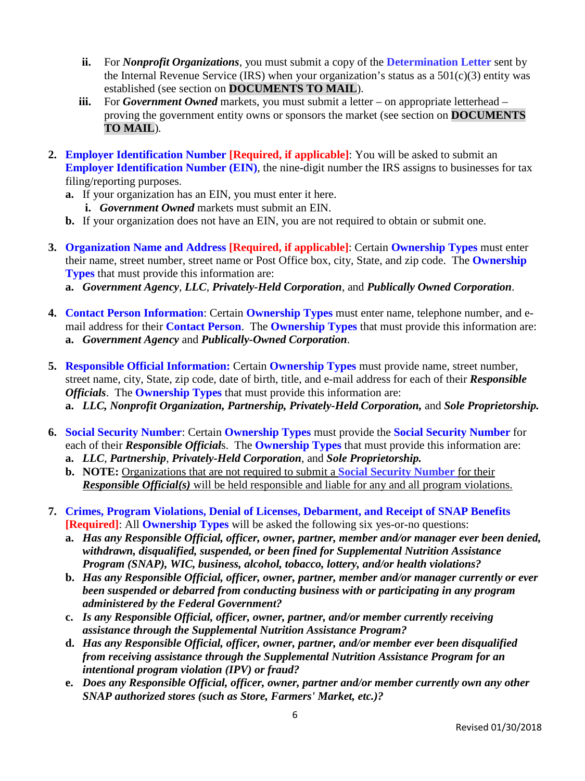- **ii.** For *Nonprofit Organizations*, you must submit a copy of the **Determination Letter** sent by the Internal Revenue Service (IRS) when your organization's status as a  $501(c)(3)$  entity was established (see section on **DOCUMENTS TO MAIL**).
- **iii.** For *Government Owned* markets, you must submit a letter on appropriate letterhead proving the government entity owns or sponsors the market (see section on **DOCUMENTS TO MAIL**)*.*
- **2. Employer Identification Number [Required, if applicable]**: You will be asked to submit an **Employer Identification Number (EIN), the nine-digit number the IRS assigns to businesses for tax** filing/reporting purposes.
	- **a.** If your organization has an EIN, you must enter it here. **i.** *Government Owned* markets must submit an EIN.
	- **b.** If your organization does not have an EIN, you are not required to obtain or submit one.
- **3. Organization Name and Address [Required, if applicable]**: Certain **Ownership Types** must enter their name, street number, street name or Post Office box, city, State, and zip code. The **Ownership Types** that must provide this information are:
	- **a.** *Government Agency*, *LLC*, *Privately-Held Corporation*, and *Publically Owned Corporation*.
- **4. Contact Person Information**: Certain **Ownership Types** must enter name, telephone number, and email address for their **Contact Person**. The **Ownership Types** that must provide this information are: **a.** *Government Agency* and *Publically-Owned Corporation*.
- **5. Responsible Official Information:** Certain **Ownership Types** must provide name, street number, street name, city, State, zip code, date of birth, title, and e-mail address for each of their *Responsible Officials*. The **Ownership Types** that must provide this information are: **a.** *LLC, Nonprofit Organization, Partnership, Privately-Held Corporation,* and *Sole Proprietorship.*
- **6. Social Security Number**: Certain **Ownership Types** must provide the **Social Security Number** for each of their *Responsible Official*s. The **Ownership Types** that must provide this information are:
	- **a.** *LLC*, *Partnership*, *Privately-Held Corporation*, and *Sole Proprietorship.*
	- **b. NOTE:** Organizations that are not required to submit a **Social Security Number** for their *Responsible Official(s)* will be held responsible and liable for any and all program violations.
- **7. Crimes, Program Violations, Denial of Licenses, Debarment, and Receipt of SNAP Benefits [Required]**: All **Ownership Types** will be asked the following six yes-or-no questions:
	- **a.** *Has any Responsible Official, officer, owner, partner, member and/or manager ever been denied, withdrawn, disqualified, suspended, or been fined for Supplemental Nutrition Assistance Program (SNAP), WIC, business, alcohol, tobacco, lottery, and/or health violations?*
	- **b.** *Has any Responsible Official, officer, owner, partner, member and/or manager currently or ever been suspended or debarred from conducting business with or participating in any program administered by the Federal Government?*
	- **c.** *Is any Responsible Official, officer, owner, partner, and/or member currently receiving assistance through the Supplemental Nutrition Assistance Program?*
	- **d.** *Has any Responsible Official, officer, owner, partner, and/or member ever been disqualified from receiving assistance through the Supplemental Nutrition Assistance Program for an intentional program violation (IPV) or fraud?*
	- **e.** *Does any Responsible Official, officer, owner, partner and/or member currently own any other SNAP authorized stores (such as Store, Farmers' Market, etc.)?*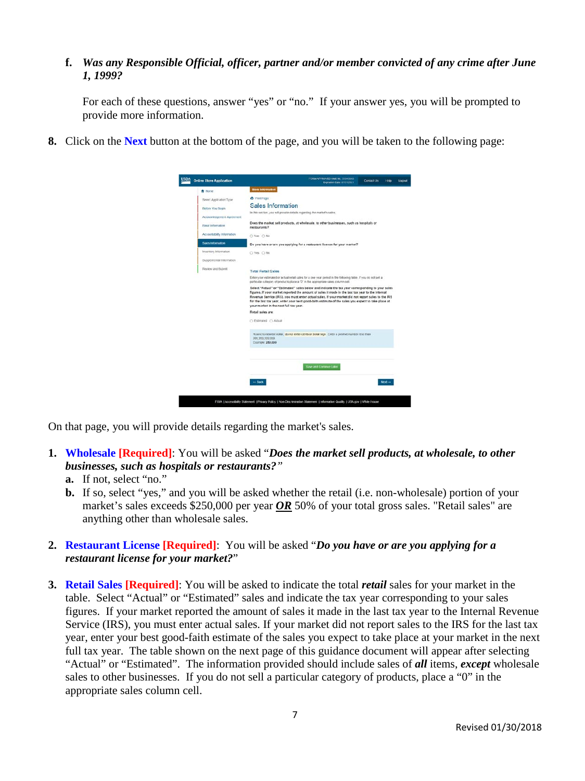### **f.** *Was any Responsible Official, officer, partner and/or member convicted of any crime after June 1, 1999?*

For each of these questions, answer "yes" or "no." If your answer yes, you will be prompted to provide more information.

**8.** Click on the **Next** button at the bottom of the page, and you will be taken to the following page:

| <b>Online Store Application</b> | FORM APPROVED ONE No. 0554 0005<br>Contact Us<br><b>Hotel</b><br>Expiration Date: 01/31/2021                                                                                                                                                                                                                                                                                                                                                                 |
|---------------------------------|--------------------------------------------------------------------------------------------------------------------------------------------------------------------------------------------------------------------------------------------------------------------------------------------------------------------------------------------------------------------------------------------------------------------------------------------------------------|
| A Home                          | Store Information                                                                                                                                                                                                                                                                                                                                                                                                                                            |
| Seinct Application Type         | <b>B</b> Print Page                                                                                                                                                                                                                                                                                                                                                                                                                                          |
| Before You Begin                | Sales Information                                                                                                                                                                                                                                                                                                                                                                                                                                            |
| Acknowledgement Agreement       | In this section, you will provide details regarding the market's sales.                                                                                                                                                                                                                                                                                                                                                                                      |
| Rauc Information                | Does the market sell products, at wholesale, to other businesses, such as hospitals or<br>rastaurants?                                                                                                                                                                                                                                                                                                                                                       |
| Accountability Information      | O Yes: O No                                                                                                                                                                                                                                                                                                                                                                                                                                                  |
| Sales tofamation                | Do you have or are you applying for a restaurant license for your market?                                                                                                                                                                                                                                                                                                                                                                                    |
| Inventory Information           | O Yes O No.                                                                                                                                                                                                                                                                                                                                                                                                                                                  |
| Supplemental Information        |                                                                                                                                                                                                                                                                                                                                                                                                                                                              |
| Review and Submit               | <b>Total Retail Sales</b>                                                                                                                                                                                                                                                                                                                                                                                                                                    |
|                                 | Enter your estimated or actual retail sales for a one year period in the following table. If you do not sell a<br>particular category of products place a "D" in the appropriate sales column cell.                                                                                                                                                                                                                                                          |
|                                 | Select "Actual" or "Estimated" sales below and indicate the tax year corresponding to your sales<br>figures. If your market reported the amount of sales it made in the last tax year to the Internal<br>Revenue Service (IRS), you must enter actual sales. If your market did not report sales to the IRS<br>for the last tax year, enter your best good-faith estimate of the sales you expect to take place at<br>your market in the next full tax year. |
|                                 | Retail sales are:                                                                                                                                                                                                                                                                                                                                                                                                                                            |
|                                 | C Estimated C Actual                                                                                                                                                                                                                                                                                                                                                                                                                                         |
|                                 | Round to nearest dollar, do not enter cents or dollar sign. Enter a positive number less than<br>995.999.999.999<br>Example, 250,000                                                                                                                                                                                                                                                                                                                         |
|                                 | Sive and Commue Later                                                                                                                                                                                                                                                                                                                                                                                                                                        |
|                                 | $-$ Back<br>$Next -$                                                                                                                                                                                                                                                                                                                                                                                                                                         |
|                                 |                                                                                                                                                                                                                                                                                                                                                                                                                                                              |

On that page, you will provide details regarding the market's sales.

- **1. Wholesale [Required]**: You will be asked "*Does the market sell products, at wholesale, to other businesses, such as hospitals or restaurants?"*
	- **a.** If not, select "no."
	- **b.** If so, select "yes," and you will be asked whether the retail (i.e. non-wholesale) portion of your market's sales exceeds \$250,000 per year *OR* 50% of your total gross sales. "Retail sales" are anything other than wholesale sales.

## **2. Restaurant License [Required]**: You will be asked "*Do you have or are you applying for a restaurant license for your market?*"

**3. Retail Sales [Required]**: You will be asked to indicate the total *retail* sales for your market in the table. Select "Actual" or "Estimated" sales and indicate the tax year corresponding to your sales figures. If your market reported the amount of sales it made in the last tax year to the Internal Revenue Service (IRS), you must enter actual sales. If your market did not report sales to the IRS for the last tax year, enter your best good-faith estimate of the sales you expect to take place at your market in the next full tax year. The table shown on the next page of this guidance document will appear after selecting "Actual" or "Estimated". The information provided should include sales of *all* items, *except* wholesale sales to other businesses. If you do not sell a particular category of products, place a "0" in the appropriate sales column cell.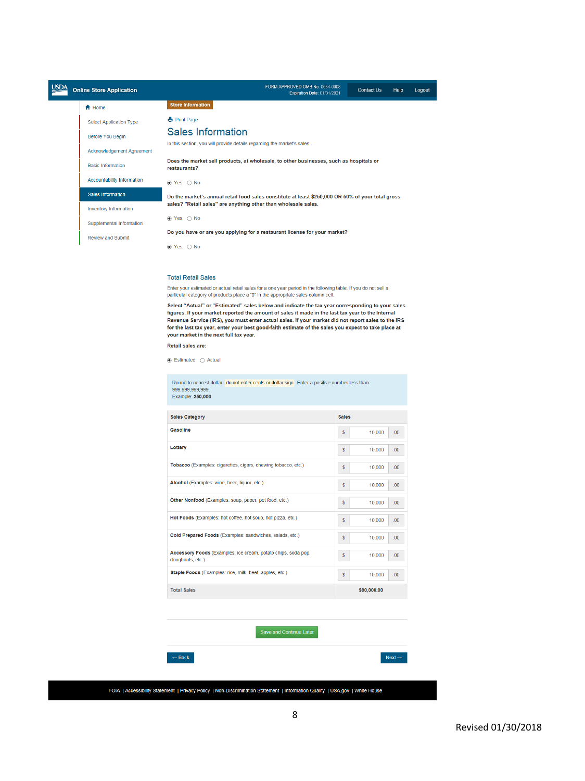| USD/ | <b>Online Store Application</b>   | FORM APPROVED OMB No. 0584-0008<br><b>Contact Us</b><br>Expiration Date: 01/31/2021                    | Help<br>Logout |
|------|-----------------------------------|--------------------------------------------------------------------------------------------------------|----------------|
|      | <del>n</del> Home                 | <b>Store Information</b>                                                                               |                |
|      | <b>Select Application Type</b>    | <b>A</b> Print Page                                                                                    |                |
|      | <b>Before You Begin</b>           | Sales Information                                                                                      |                |
|      | <b>Acknowledgement Agreement</b>  | In this section, you will provide details regarding the market's sales.                                |                |
|      | <b>Basic Information</b>          | Does the market sell products, at wholesale, to other businesses, such as hospitals or<br>restaurants? |                |
|      | <b>Accountability Information</b> | $\bullet$ Yes $\circ$ No                                                                               |                |
|      | <b>Sales Information</b>          | Do the market's annual retail food sales constitute at least \$250,000 OR 50% of your total gross      |                |
|      | <b>Inventory Information</b>      | sales? "Retail sales" are anything other than wholesale sales.                                         |                |
|      | <b>Supplemental Information</b>   | $\bullet$ Yes $\circ$ No                                                                               |                |
|      | <b>Review and Submit</b>          | Do you have or are you applying for a restaurant license for your market?                              |                |
|      |                                   | $\bullet$ Yes $\circ$ No                                                                               |                |

#### **Total Retail Sales**

Enter your estimated or actual retail sales for a one year period in the following table. If you do not sell a<br>particular category of products place a "0" in the appropriate sales column cell.

Select "Actual" or "Estimated" sales below and indicate the tax year corresponding to your sales figures. If your market reported the amount of sales it made in the last tax year to the Internal Revenue Service (IRS), you must enter actual sales. If your market did not report sales to the IRS for the last tax year, enter your best good-faith estimate of the sales you expect to take place at<br>your market in the next full tax year.

### Retail sales are:

 $\odot$  Estimated  $\odot$  Actual

Round to nearest dollar, do not enter cents or dollar sign. Enter a positive number less than 999.999.999.999. Example: 250,000

| <b>Sales Category</b>                                                             | <b>Sales</b> |             |                  |
|-----------------------------------------------------------------------------------|--------------|-------------|------------------|
| Gasoline                                                                          | \$           | 10,000      | .00.             |
| Lottery                                                                           | \$           | 10.000      | .00              |
| Tobacco (Examples: cigarettes, cigars, chewing tobacco, etc.)                     | \$           | 10.000      | .00.             |
| Alcohol (Examples: wine, beer, liquor, etc.)                                      | \$           | 10.000      | .00              |
| Other Nonfood (Examples: soap, paper, pet food, etc.)                             | \$           | 10,000      | .00.             |
| Hot Foods (Examples: hot coffee, hot soup, hot pizza, etc.)                       | \$           | 10,000      | .00 <sub>1</sub> |
| Cold Prepared Foods (Examples: sandwiches, salads, etc.)                          | \$           | 10,000      | .00.             |
| Accessory Foods (Examples: ice cream, potato chips, soda pop,<br>doughnuts, etc.) | \$           | 10,000      | .00 <sub>1</sub> |
| Staple Foods (Examples: rice, milk, beef, apples, etc.)                           | \$           | 10.000      | .00              |
| <b>Total Sales</b>                                                                |              | \$90,000.00 |                  |

### Save and Continue Later



FOIA | Accessibility Statement | Privacy Policy | Non-Discrimination Statement | Information Quality | USA.gov | White House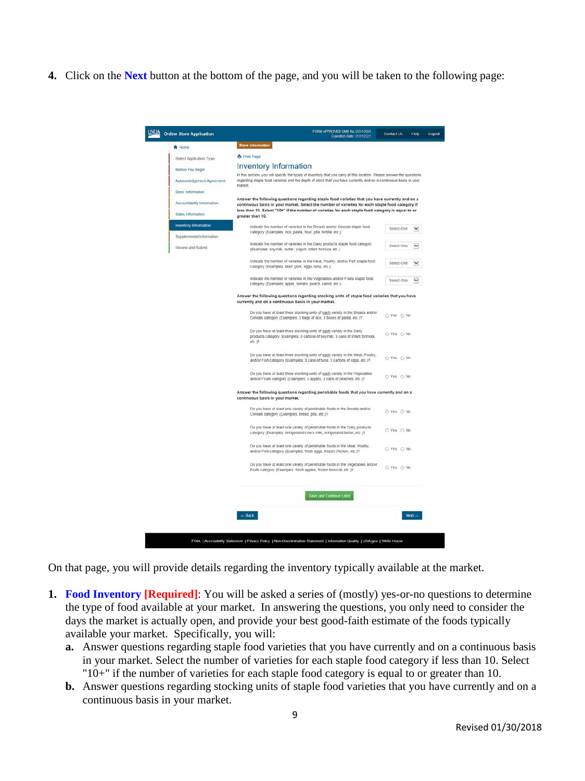**4.** Click on the **Next** button at the bottom of the page, and you will be taken to the following page:

| <b>Online Store Application</b>                                                                                                                        | Expiration Date: 01/31/2021                                                                                                                                                                                                                                                                                          |            | Help               |
|--------------------------------------------------------------------------------------------------------------------------------------------------------|----------------------------------------------------------------------------------------------------------------------------------------------------------------------------------------------------------------------------------------------------------------------------------------------------------------------|------------|--------------------|
| A Home                                                                                                                                                 | Store Information                                                                                                                                                                                                                                                                                                    |            |                    |
| Select Application Type                                                                                                                                | A Print Page                                                                                                                                                                                                                                                                                                         |            |                    |
| Before You Begin                                                                                                                                       | <b>Inventory Information</b>                                                                                                                                                                                                                                                                                         |            |                    |
| Acknowledgement Agreement                                                                                                                              | In this section, you will specify the types of inventory that you carry at this location. Please answer the questions<br>regarding staple food varieties and the depth of stock that you have currently and on a continuous basis in your<br>market.                                                                 |            |                    |
| Basic Information                                                                                                                                      |                                                                                                                                                                                                                                                                                                                      |            |                    |
| Accountability Information<br>Sales Information                                                                                                        | Answer the following questions regarding staple food varieties that you have currently and on a<br>continuous basis in your market. Select the number of varieties for each staple food category if<br>less than 10. Select "10+" if the number of varieties for each staple food category is equal to or            |            |                    |
|                                                                                                                                                        | greater than 10.                                                                                                                                                                                                                                                                                                     |            |                    |
| <b>Inventory Information</b>                                                                                                                           | Indicate the number of varieties in the Breads and/or Cereals staple food<br>category (Examples: rice, pasta, flour, pita, tortilla, etc.):                                                                                                                                                                          | Select-One |                    |
| Supplemental Information<br>Review and Submit                                                                                                          | Indicate the number of varieties in the Dairy products staple food category<br>(Examples: soymilk, butter, yogurt, infant formula, etc.):                                                                                                                                                                            | Select-One |                    |
| category (Examples: beef, pork, eggs, tuna, etc.);                                                                                                     | Indicate the number of varieties in the Meat, Poultry, and/or Fish staple food                                                                                                                                                                                                                                       | Select-One | $\checkmark$       |
|                                                                                                                                                        | Indicate the number of varieties in the Vegetables and/or Fruits staple food<br>category (Examples: apple, tomato, peach, carrot, etc.):                                                                                                                                                                             | Select-One | $\breve{ }$        |
|                                                                                                                                                        | Answer the following questions regarding stocking units of staple food varieties that you have<br>currently and on a continuous basis in your market.                                                                                                                                                                |            |                    |
| Do you have at least three stocking units of each variety in the Breads and/or<br>Cereals category (Examples: 3 bags of rice, 3 boxes of pasta, etc.)? | O Yes O No                                                                                                                                                                                                                                                                                                           |            |                    |
|                                                                                                                                                        | Do you have at least three stocking units of each variety in the Dairy<br>products category (Examples: 3 cartons of soymilk, 3 cans of infant formula,<br>etc. Y?                                                                                                                                                    | O Yes O No |                    |
|                                                                                                                                                        | Do you have at least three stocking units of each variety in the Meat, Poultry,<br>and/or Fish category (Examples: 3 cans of tuna, 3 cartons of eggs, etc.)?<br>Do you have at least three stocking units of each variety in the Vegetables<br>and/or Fruits category (Examples: 3 apples, 3 cans of peaches, etc.)? | O Yes O No |                    |
|                                                                                                                                                        |                                                                                                                                                                                                                                                                                                                      | O Yes O No |                    |
|                                                                                                                                                        | Answer the following questions regarding perishable foods that you have currently and on a<br>continuous basis in your market.                                                                                                                                                                                       |            |                    |
|                                                                                                                                                        | Do you have at least one variety of perishable foods in the Breads and/or<br>Cereals category (Examples: bread, pita, etc.)?                                                                                                                                                                                         | O Yes O No |                    |
|                                                                                                                                                        | Do you have at least one variety of perishable foods in the Dairy products<br>category (Examples: refrigerated cow's milk, refrigerated butter, etc.)?<br>Do you have at least one variety of perishable foods in the Meat, Poultry,<br>and/or Fish category (Examples: fresh eggs, frozen chicken, etc.)?           | O Yes O No |                    |
|                                                                                                                                                        |                                                                                                                                                                                                                                                                                                                      | ○ Yes ○ No |                    |
|                                                                                                                                                        | Do you have at least one variety of perishable foods in the Vegetables and/or<br>Fruits category (Examples: fresh apples, frozen broccoli, etc.)?                                                                                                                                                                    | O Yes O No |                    |
|                                                                                                                                                        | Save and Continue Later                                                                                                                                                                                                                                                                                              |            |                    |
|                                                                                                                                                        | - Back                                                                                                                                                                                                                                                                                                               |            | $Next \rightarrow$ |
|                                                                                                                                                        |                                                                                                                                                                                                                                                                                                                      |            |                    |

On that page, you will provide details regarding the inventory typically available at the market.

- **1. Food Inventory [Required]**: You will be asked a series of (mostly) yes-or-no questions to determine the type of food available at your market. In answering the questions, you only need to consider the days the market is actually open, and provide your best good-faith estimate of the foods typically available your market. Specifically, you will:
	- **a.** Answer questions regarding staple food varieties that you have currently and on a continuous basis in your market. Select the number of varieties for each staple food category if less than 10. Select "10+" if the number of varieties for each staple food category is equal to or greater than 10.
	- **b.** Answer questions regarding stocking units of staple food varieties that you have currently and on a continuous basis in your market.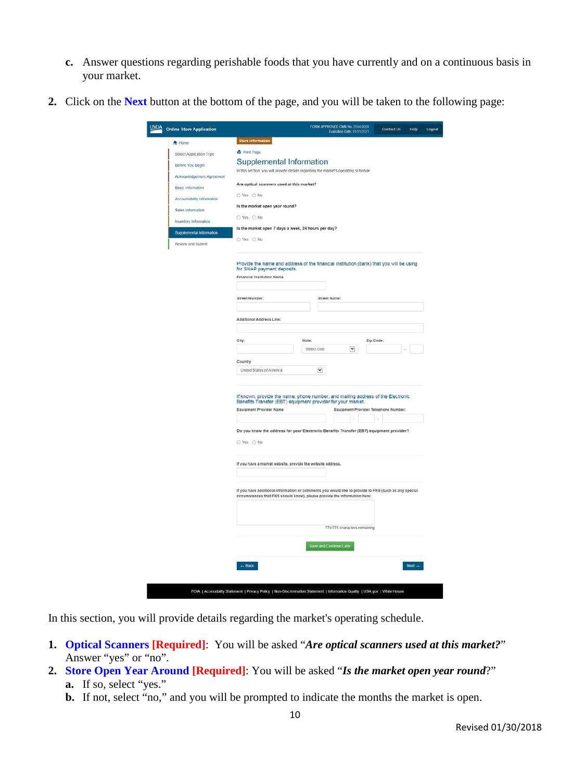- **c.** Answer questions regarding perishable foods that you have currently and on a continuous basis in your market.
- **2.** Click on the **Next** button at the bottom of the page, and you will be taken to the following page:

| <b>Online Store Application</b> | FORM APPROVED OMB No. 0584-0008<br>Contact Us<br>Help<br>Expiration Date: 01/31/2021                                                                                                                              |
|---------------------------------|-------------------------------------------------------------------------------------------------------------------------------------------------------------------------------------------------------------------|
| A Home                          | Store Information                                                                                                                                                                                                 |
| Select Application Type         | <b>B</b> Print Page                                                                                                                                                                                               |
| Before You Begin                | Supplemental Information                                                                                                                                                                                          |
| Acknowledgement Agreement       | In this section, you will provide details regarding the market's operating schedule                                                                                                                               |
| <b>Basic Information</b>        | Are optical scanners used at this market?                                                                                                                                                                         |
| Accountability Information      | O Yes O No                                                                                                                                                                                                        |
| Sales Information               | Is the market open year round?                                                                                                                                                                                    |
| Inventory Information           | O Yes O No                                                                                                                                                                                                        |
| Supplemental Information        | Is the market open 7 days a week, 24 hours per day?                                                                                                                                                               |
|                                 | O Yes O No                                                                                                                                                                                                        |
| Review and Submit               |                                                                                                                                                                                                                   |
|                                 | Provide the name and address of the financial institution (bank) that you will be using                                                                                                                           |
|                                 | for SNAP payment deposits.<br>Financial Institution Name                                                                                                                                                          |
|                                 |                                                                                                                                                                                                                   |
|                                 | Street Number:<br>Street Name:                                                                                                                                                                                    |
|                                 |                                                                                                                                                                                                                   |
|                                 | Additional Address Line:                                                                                                                                                                                          |
|                                 |                                                                                                                                                                                                                   |
|                                 | City:<br>State:<br>Zip Code:                                                                                                                                                                                      |
|                                 | $\check{~}$<br>Select-One                                                                                                                                                                                         |
|                                 | Country                                                                                                                                                                                                           |
|                                 | $\check{}$<br>United States of America                                                                                                                                                                            |
|                                 | If known, provide the name, phone number, and mailing address of the Electronic<br>Benefits Transfer (EBT) equipment provider for your market.<br>Equipment Provider Name<br>Equipment Provider Telephone Number: |
|                                 | Do you know the address for your Electronic Benefits Transfer (EBT) equipment provider?                                                                                                                           |
|                                 | O Yes O No                                                                                                                                                                                                        |
|                                 | If you have a market website, provide the website address.                                                                                                                                                        |
|                                 | If you have additional information or comments you would like to provide to FNS (such as any special<br>circumstances that FNS should know), please provide the information here:                                 |
|                                 |                                                                                                                                                                                                                   |
|                                 | 775/775 characters remaining                                                                                                                                                                                      |
|                                 |                                                                                                                                                                                                                   |
|                                 | Save and Continue Later                                                                                                                                                                                           |
|                                 | $-$ Back<br>$Next -$                                                                                                                                                                                              |

In this section, you will provide details regarding the market's operating schedule.

- **1. Optical Scanners [Required]**: You will be asked "*Are optical scanners used at this market?*" Answer "yes" or "no".
- **2. Store Open Year Around [Required]**: You will be asked "*Is the market open year round*?" **a.** If so, select "yes."
	- **b.** If not, select "no," and you will be prompted to indicate the months the market is open.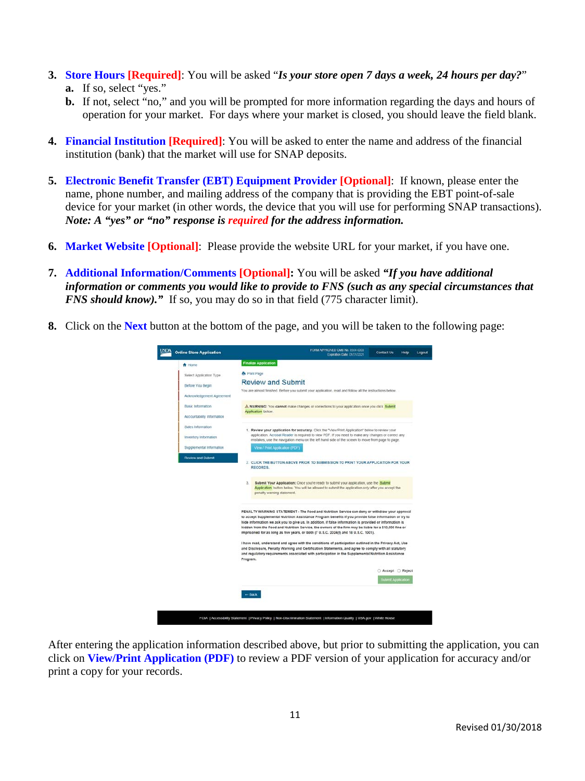- **3. Store Hours [Required]**: You will be asked "*Is your store open 7 days a week, 24 hours per day?*" **a.** If so, select "yes."
	- **b.** If not, select "no," and you will be prompted for more information regarding the days and hours of operation for your market. For days where your market is closed, you should leave the field blank.
- **4. Financial Institution [Required]**: You will be asked to enter the name and address of the financial institution (bank) that the market will use for SNAP deposits.
- **5. Electronic Benefit Transfer (EBT) Equipment Provider [Optional]**: If known, please enter the name, phone number, and mailing address of the company that is providing the EBT point-of-sale device for your market (in other words, the device that you will use for performing SNAP transactions). *Note: A "yes" or "no" response is required for the address information.*
- **6. Market Website [Optional]**: Please provide the website URL for your market, if you have one.
- **7. Additional Information/Comments [Optional]:** You will be asked *"If you have additional information or comments you would like to provide to FNS (such as any special circumstances that FNS should know*)." If so, you may do so in that field (775 character limit).
- **8.** Click on the **Next** button at the bottom of the page, and you will be taken to the following page:



After entering the application information described above, but prior to submitting the application, you can click on **View/Print Application (PDF)** to review a PDF version of your application for accuracy and/or print a copy for your records.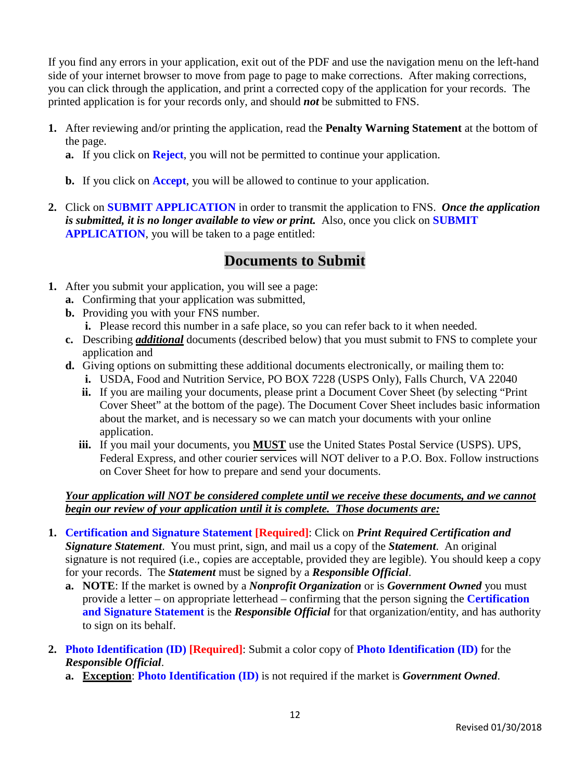If you find any errors in your application, exit out of the PDF and use the navigation menu on the left-hand side of your internet browser to move from page to page to make corrections. After making corrections, you can click through the application, and print a corrected copy of the application for your records. The printed application is for your records only, and should *not* be submitted to FNS.

- **1.** After reviewing and/or printing the application, read the **Penalty Warning Statement** at the bottom of the page.
	- **a.** If you click on **Reject**, you will not be permitted to continue your application.
	- **b.** If you click on **Accept**, you will be allowed to continue to your application.
- **2.** Click on **SUBMIT APPLICATION** in order to transmit the application to FNS. *Once the application is submitted, it is no longer available to view or print.* Also, once you click on **SUBMIT APPLICATION**, you will be taken to a page entitled:

## **Documents to Submit**

- **1.** After you submit your application, you will see a page:
	- **a.** Confirming that your application was submitted,
	- **b.** Providing you with your FNS number.
		- **i.** Please record this number in a safe place, so you can refer back to it when needed.
	- **c.** Describing *additional* documents (described below) that you must submit to FNS to complete your application and
	- **d.** Giving options on submitting these additional documents electronically, or mailing them to:
		- **i.** USDA, Food and Nutrition Service, PO BOX 7228 (USPS Only), Falls Church, VA 22040
		- **ii.** If you are mailing your documents, please print a Document Cover Sheet (by selecting "Print Cover Sheet" at the bottom of the page). The Document Cover Sheet includes basic information about the market, and is necessary so we can match your documents with your online application.
		- **iii.** If you mail your documents, you **MUST** use the United States Postal Service (USPS). UPS, Federal Express, and other courier services will NOT deliver to a P.O. Box. Follow instructions on Cover Sheet for how to prepare and send your documents.

## *Your application will NOT be considered complete until we receive these documents, and we cannot begin our review of your application until it is complete. Those documents are:*

- **1. Certification and Signature Statement [Required]**: Click on *Print Required Certification and Signature Statement*. You must print, sign, and mail us a copy of the *Statement*. An original signature is not required (i.e., copies are acceptable, provided they are legible). You should keep a copy for your records. The *Statement* must be signed by a *Responsible Official*.
	- **a. NOTE**: If the market is owned by a *Nonprofit Organization* or is *Government Owned* you must provide a letter – on appropriate letterhead – confirming that the person signing the **Certification and Signature Statement** is the *Responsible Official* for that organization/entity, and has authority to sign on its behalf.
- **2. Photo Identification (ID) [Required]**: Submit a color copy of **Photo Identification (ID)** for the *Responsible Official*.
	- **a. Exception**: **Photo Identification (ID)** is not required if the market is *Government Owned*.